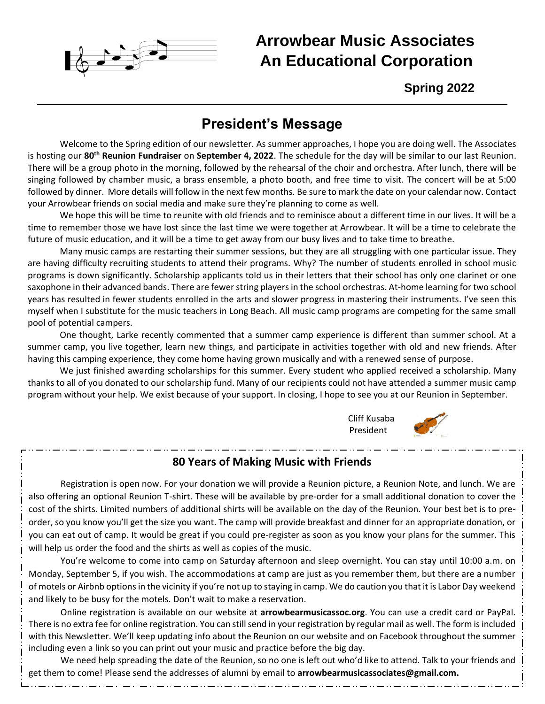

# **Arrowbear Music Associates An Educational Corporation**

**Spring 2022**

## **President's Message**

Welcome to the Spring edition of our newsletter. As summer approaches, I hope you are doing well. The Associates is hosting our **80th Reunion Fundraiser** on **September 4, 2022**. The schedule for the day will be similar to our last Reunion. There will be a group photo in the morning, followed by the rehearsal of the choir and orchestra. After lunch, there will be singing followed by chamber music, a brass ensemble, a photo booth, and free time to visit. The concert will be at 5:00 followed by dinner. More details will follow in the next few months. Be sure to mark the date on your calendar now. Contact your Arrowbear friends on social media and make sure they're planning to come as well.

We hope this will be time to reunite with old friends and to reminisce about a different time in our lives. It will be a time to remember those we have lost since the last time we were together at Arrowbear. It will be a time to celebrate the future of music education, and it will be a time to get away from our busy lives and to take time to breathe.

Many music camps are restarting their summer sessions, but they are all struggling with one particular issue. They are having difficulty recruiting students to attend their programs. Why? The number of students enrolled in school music programs is down significantly. Scholarship applicants told us in their letters that their school has only one clarinet or one saxophone in their advanced bands. There are fewer string players in the school orchestras. At-home learning for two school years has resulted in fewer students enrolled in the arts and slower progress in mastering their instruments. I've seen this myself when I substitute for the music teachers in Long Beach. All music camp programs are competing for the same small pool of potential campers.

One thought, Larke recently commented that a summer camp experience is different than summer school. At a summer camp, you live together, learn new things, and participate in activities together with old and new friends. After having this camping experience, they come home having grown musically and with a renewed sense of purpose.

We just finished awarding scholarships for this summer. Every student who applied received a scholarship. Many thanks to all of you donated to our scholarship fund. Many of our recipients could not have attended a summer music camp program without your help. We exist because of your support. In closing, I hope to see you at our Reunion in September.





### **80 Years of Making Music with Friends**

Registration is open now. For your donation we will provide a Reunion picture, a Reunion Note, and lunch. We are also offering an optional Reunion T-shirt. These will be available by pre-order for a small additional donation to cover the cost of the shirts. Limited numbers of additional shirts will be available on the day of the Reunion. Your best bet is to preorder, so you know you'll get the size you want. The camp will provide breakfast and dinner for an appropriate donation, or you can eat out of camp. It would be great if you could pre-register as soon as you know your plans for the summer. This will help us order the food and the shirts as well as copies of the music.

You're welcome to come into camp on Saturday afternoon and sleep overnight. You can stay until 10:00 a.m. on Monday, September 5, if you wish. The accommodations at camp are just as you remember them, but there are a number of motels or Airbnb options in the vicinity if you're not up to staying in camp. We do caution you that it is Labor Day weekend and likely to be busy for the motels. Don't wait to make a reservation.

Online registration is available on our website at **arrowbearmusicassoc.org**. You can use a credit card or PayPal. There is no extra fee for online registration. You can still send in your registration by regular mail as well. The form is included with this Newsletter. We'll keep updating info about the Reunion on our website and on Facebook throughout the summer including even a link so you can print out your music and practice before the big day.

We need help spreading the date of the Reunion, so no one is left out who'd like to attend. Talk to your friends and get them to come! Please send the addresses of alumni by email to **arrowbearmusicassociates@gmail.com.**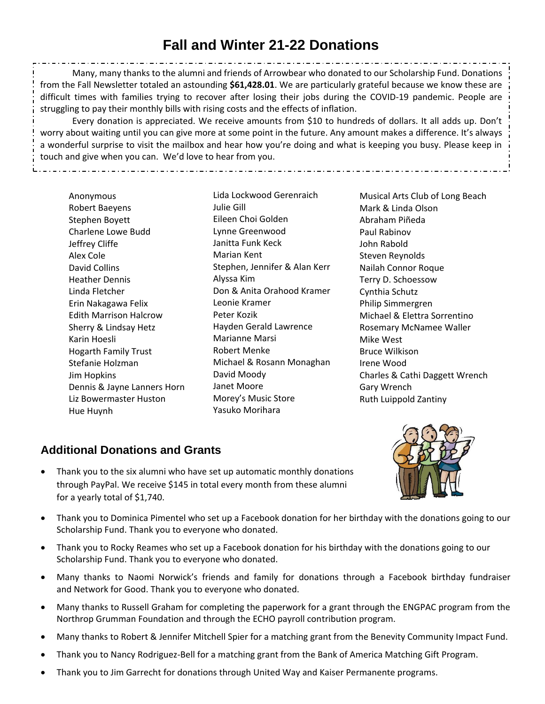# **Fall and Winter 21-22 Donations**

Many, many thanks to the alumni and friends of Arrowbear who donated to our Scholarship Fund. Donations from the Fall Newsletter totaled an astounding **\$61,428.01**. We are particularly grateful because we know these are difficult times with families trying to recover after losing their jobs during the COVID-19 pandemic. People are struggling to pay their monthly bills with rising costs and the effects of inflation.

Every donation is appreciated. We receive amounts from \$10 to hundreds of dollars. It all adds up. Don't worry about waiting until you can give more at some point in the future. Any amount makes a difference. It's always a wonderful surprise to visit the mailbox and hear how you're doing and what is keeping you busy. Please keep in touch and give when you can. We'd love to hear from you.

Anonymous Robert Baeyens Stephen Boyett Charlene Lowe Budd Jeffrey Cliffe Alex Cole David Collins Heather Dennis Linda Fletcher Erin Nakagawa Felix Edith Marrison Halcrow Sherry & Lindsay Hetz Karin Hoesli Hogarth Family Trust Stefanie Holzman Jim Hopkins Dennis & Jayne Lanners Horn Liz Bowermaster Huston Hue Huynh

Lida Lockwood Gerenraich Julie Gill Eileen Choi Golden Lynne Greenwood Janitta Funk Keck Marian Kent Stephen, Jennifer & Alan Kerr Alyssa Kim Don & Anita Orahood Kramer Leonie Kramer Peter Kozik Hayden Gerald Lawrence Marianne Marsi Robert Menke Michael & Rosann Monaghan David Moody Janet Moore Morey's Music Store Yasuko Morihara

Musical Arts Club of Long Beach Mark & Linda Olson Abraham Piñeda Paul Rabinov John Rabold Steven Reynolds Nailah Connor Roque Terry D. Schoessow Cynthia Schutz Philip Simmergren Michael & Elettra Sorrentino Rosemary McNamee Waller Mike West Bruce Wilkison Irene Wood Charles & Cathi Daggett Wrench Gary Wrench Ruth Luippold Zantiny

## **Additional Donations and Grants**

• Thank you to the six alumni who have set up automatic monthly donations through PayPal. We receive \$145 in total every month from these alumni for a yearly total of \$1,740.



- Thank you to Dominica Pimentel who set up a Facebook donation for her birthday with the donations going to our Scholarship Fund. Thank you to everyone who donated.
- Thank you to Rocky Reames who set up a Facebook donation for his birthday with the donations going to our Scholarship Fund. Thank you to everyone who donated.
- Many thanks to Naomi Norwick's friends and family for donations through a Facebook birthday fundraiser and Network for Good. Thank you to everyone who donated.
- Many thanks to Russell Graham for completing the paperwork for a grant through the ENGPAC program from the Northrop Grumman Foundation and through the ECHO payroll contribution program.
- Many thanks to Robert & Jennifer Mitchell Spier for a matching grant from the Benevity Community Impact Fund.
- Thank you to Nancy Rodriguez-Bell for a matching grant from the Bank of America Matching Gift Program.
- Thank you to Jim Garrecht for donations through United Way and Kaiser Permanente programs.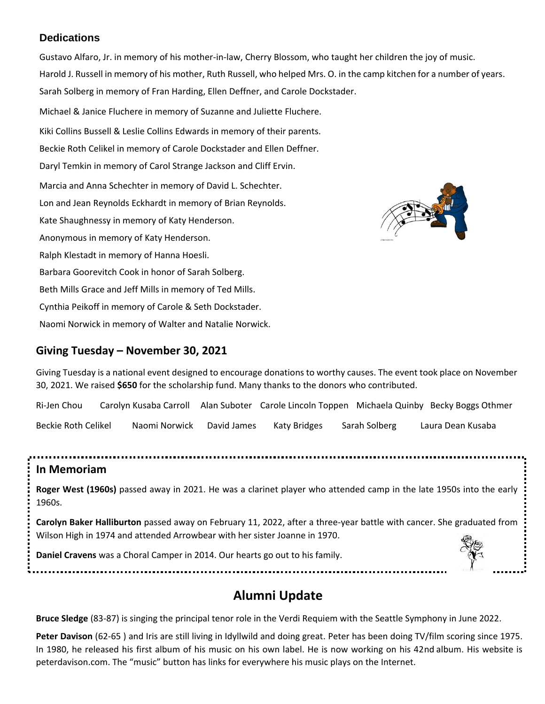#### **Dedications**

Gustavo Alfaro, Jr. in memory of his mother-in-law, Cherry Blossom, who taught her children the joy of music. Harold J. Russell in memory of his mother, Ruth Russell, who helped Mrs. O. in the camp kitchen for a number of years. Sarah Solberg in memory of Fran Harding, Ellen Deffner, and Carole Dockstader. Michael & Janice Fluchere in memory of Suzanne and Juliette Fluchere. Kiki Collins Bussell & Leslie Collins Edwards in memory of their parents. Beckie Roth Celikel in memory of Carole Dockstader and Ellen Deffner. Daryl Temkin in memory of Carol Strange Jackson and Cliff Ervin. Marcia and Anna Schechter in memory of David L. Schechter. Lon and Jean Reynolds Eckhardt in memory of Brian Reynolds. Kate Shaughnessy in memory of Katy Henderson. Anonymous in memory of Katy Henderson. Ralph Klestadt in memory of Hanna Hoesli. Barbara Goorevitch Cook in honor of Sarah Solberg. Beth Mills Grace and Jeff Mills in memory of Ted Mills. Cynthia Peikoff in memory of Carole & Seth Dockstader. Naomi Norwick in memory of Walter and Natalie Norwick.

### **Giving Tuesday – November 30, 2021**

Giving Tuesday is a national event designed to encourage donations to worthy causes. The event took place on November 30, 2021. We raised **\$650** for the scholarship fund. Many thanks to the donors who contributed.

Ri-Jen Chou Carolyn Kusaba Carroll Alan Suboter Carole Lincoln Toppen Michaela Quinby Becky Boggs Othmer Beckie Roth Celikel Naomi Norwick David James Katy Bridges Sarah Solberg Laura Dean Kusaba

#### **In Memoriam**

**Roger West (1960s)** passed away in 2021. He was a clarinet player who attended camp in the late 1950s into the early 1960s.

**Carolyn Baker Halliburton** passed away on February 11, 2022, after a three-year battle with cancer. She graduated from Wilson High in 1974 and attended Arrowbear with her sister Joanne in 1970.

**Daniel Cravens** was a Choral Camper in 2014. Our hearts go out to his family.

.....................................

## **Alumni Update**

**Bruce Sledge** (83-87) is singing the principal tenor role in the Verdi Requiem with the Seattle Symphony in June 2022.

**Peter Davison** (62-65 ) and Iris are still living in Idyllwild and doing great. Peter has been doing TV/film scoring since 1975. In 1980, he released his first album of his music on his own label. He is now working on his 42nd album. His website is peterdavison.com. The "music" button has links for everywhere his music plays on the Internet.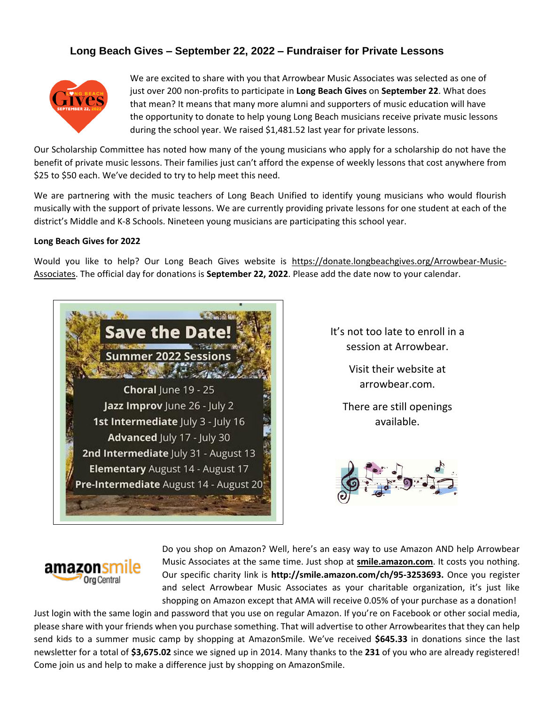#### **Long Beach Gives – September 22, 2022 – Fundraiser for Private Lessons**



We are excited to share with you that Arrowbear Music Associates was selected as one of just over 200 non-profits to participate in **Long Beach Gives** on **September 22**. What does that mean? It means that many more alumni and supporters of music education will have the opportunity to donate to help young Long Beach musicians receive private music lessons during the school year. We raised \$1,481.52 last year for private lessons.

Our Scholarship Committee has noted how many of the young musicians who apply for a scholarship do not have the benefit of private music lessons. Their families just can't afford the expense of weekly lessons that cost anywhere from \$25 to \$50 each. We've decided to try to help meet this need.

We are partnering with the music teachers of Long Beach Unified to identify young musicians who would flourish musically with the support of private lessons. We are currently providing private lessons for one student at each of the district's Middle and K-8 Schools. Nineteen young musicians are participating this school year.

#### **Long Beach Gives for 2022**

Would you like to help? Our Long Beach Gives website is [https://donate.longbeachgives.org/Arrowbear-Music-](https://donate.longbeachgives.org/Arrowbear-Music-Associates)[Associates.](https://donate.longbeachgives.org/Arrowbear-Music-Associates) The official day for donations is **September 22, 2022**. Please add the date now to your calendar.



It's not too late to enroll in a session at Arrowbear.

> Visit their website at arrowbear.com.

There are still openings available.





Do you shop on Amazon? Well, here's an easy way to use Amazon AND help Arrowbear Music Associates at the same time. Just shop at **[smile.amazon.com](http://www.smile.amazon.com/)**. It costs you nothing. Our specific charity link is **[http://smile.amazon.com/ch/95-3253693.](https://smile.amazon.com/gp/r.html?R=1YVK8JO3JHE1U&C=1GAY0J721E4O0&H=IRVEEOUCGNQRAIKJJAADZCXV2SMA&T=C&U=http%3A%2F%2Fsmile.amazon.com%2Fch%2F95-3253693%3Fref_%3Dpe_732550_140418350)** Once you register and select Arrowbear Music Associates as your charitable organization, it's just like shopping on Amazon except that AMA will receive 0.05% of your purchase as a donation!

Just login with the same login and password that you use on regular Amazon. If you're on Facebook or other social media, please share with your friends when you purchase something. That will advertise to other Arrowbearites that they can help send kids to a summer music camp by shopping at AmazonSmile. We've received **\$645.33** in donations since the last newsletter for a total of **\$3,675.02** since we signed up in 2014. Many thanks to the **231** of you who are already registered! Come join us and help to make a difference just by shopping on AmazonSmile.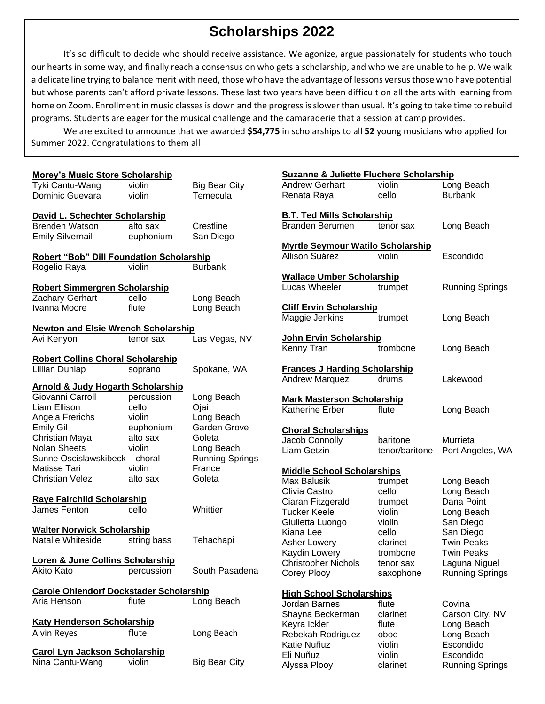## **Scholarships 2022**

It's so difficult to decide who should receive assistance. We agonize, argue passionately for students who touch our hearts in some way, and finally reach a consensus on who gets a scholarship, and who we are unable to help. We walk a delicate line trying to balance merit with need, those who have the advantage of lessons versus those who have potential but whose parents can't afford private lessons. These last two years have been difficult on all the arts with learning from home on Zoom. Enrollment in music classes is down and the progress is slower than usual. It's going to take time to rebuild programs. Students are eager for the musical challenge and the camaraderie that a session at camp provides.

We are excited to announce that we awarded **\$54,775** in scholarships to all **52** young musicians who applied for Summer 2022. Congratulations to them all!

| <b>Morey's Music Store Scholarship</b>          |             |                        | <b>Suzanne &amp; Juliette Fluchere Scholarship</b>   |                |                        |
|-------------------------------------------------|-------------|------------------------|------------------------------------------------------|----------------|------------------------|
| Tyki Cantu-Wang                                 | violin      | <b>Big Bear City</b>   | <b>Andrew Gerhart</b>                                | violin         | Long Beach             |
| Dominic Guevara                                 | violin      | Temecula               | Renata Raya                                          | cello          | <b>Burbank</b>         |
| David L. Schechter Scholarship                  |             |                        | <b>B.T. Ted Mills Scholarship</b>                    |                |                        |
| <b>Brenden Watson</b>                           | alto sax    | Crestline              | Branden Berumen                                      | tenor sax      | Long Beach             |
| <b>Emily Silvernail</b>                         | euphonium   | San Diego              |                                                      |                |                        |
|                                                 |             |                        | <b>Myrtle Seymour Watilo Scholarship</b>             |                |                        |
| <b>Robert "Bob" Dill Foundation Scholarship</b> |             |                        | Allison Suárez                                       | violin         | Escondido              |
| Rogelio Raya                                    | violin      | <b>Burbank</b>         |                                                      |                |                        |
|                                                 |             |                        | <b>Wallace Umber Scholarship</b>                     |                |                        |
| <b>Robert Simmergren Scholarship</b>            |             |                        | <b>Lucas Wheeler</b>                                 | trumpet        | <b>Running Springs</b> |
| Zachary Gerhart                                 | cello       | Long Beach             |                                                      |                |                        |
| Ivanna Moore                                    | flute       | Long Beach             | <b>Cliff Ervin Scholarship</b>                       |                |                        |
|                                                 |             |                        | Maggie Jenkins                                       | trumpet        | Long Beach             |
| <b>Newton and Elsie Wrench Scholarship</b>      |             |                        |                                                      |                |                        |
| Avi Kenyon                                      | tenor sax   | Las Vegas, NV          | John Ervin Scholarship                               |                |                        |
|                                                 |             |                        | Kenny Tran                                           | trombone       | Long Beach             |
| <b>Robert Collins Choral Scholarship</b>        |             |                        |                                                      |                |                        |
| Lillian Dunlap                                  | soprano     | Spokane, WA            | <b>Frances J Harding Scholarship</b>                 |                |                        |
| <b>Arnold &amp; Judy Hogarth Scholarship</b>    |             |                        | <b>Andrew Marquez</b>                                | drums          | Lakewood               |
| Giovanni Carroll                                | percussion  | Long Beach             |                                                      |                |                        |
| Liam Ellison                                    | cello       | Ojai                   | <b>Mark Masterson Scholarship</b><br>Katherine Erber |                |                        |
| Angela Frerichs                                 | violin      | Long Beach             |                                                      | flute          | Long Beach             |
| <b>Emily Gil</b>                                | euphonium   | Garden Grove           |                                                      |                |                        |
| Christian Maya                                  | alto sax    | Goleta                 | <b>Choral Scholarships</b><br>Jacob Connolly         | baritone       | Murrieta               |
| <b>Nolan Sheets</b>                             | violin      | Long Beach             | Liam Getzin                                          | tenor/baritone |                        |
| Sunne Oscislawskibeck                           | choral      | <b>Running Springs</b> |                                                      |                | Port Angeles, W        |
| Matisse Tari                                    | violin      | France                 | <b>Middle School Scholarships</b>                    |                |                        |
| <b>Christian Velez</b>                          | alto sax    | Goleta                 | <b>Max Balusik</b>                                   | trumpet        | Long Beach             |
|                                                 |             |                        | Olivia Castro                                        | cello          | Long Beach             |
| <b>Raye Fairchild Scholarship</b>               |             |                        | Ciaran Fitzgerald                                    | trumpet        | Dana Point             |
| James Fenton                                    | cello       | Whittier               | <b>Tucker Keele</b>                                  | violin         | Long Beach             |
|                                                 |             |                        | Giulietta Luongo                                     | violin         | San Diego              |
| <b>Walter Norwick Scholarship</b>               |             |                        | Kiana Lee                                            | cello          | San Diego              |
| Natalie Whiteside                               | string bass | Tehachapi              | Asher Lowery                                         | clarinet       | <b>Twin Peaks</b>      |
|                                                 |             |                        | Kaydin Lowery                                        | trombone       | <b>Twin Peaks</b>      |
| Loren & June Collins Scholarship                |             |                        | <b>Christopher Nichols</b>                           | tenor sax      | Laguna Niguel          |
| Akito Kato                                      | percussion  | South Pasadena         | Corey Plooy                                          | saxophone      | <b>Running Springs</b> |
|                                                 |             |                        |                                                      |                |                        |
| <b>Carole Ohlendorf Dockstader Scholarship</b>  |             |                        | <b>High School Scholarships</b>                      |                |                        |
| Aria Henson                                     | flute       | Long Beach             | Jordan Barnes                                        | flute          | Covina                 |
|                                                 |             |                        | Shayna Beckerman                                     | clarinet       | Carson City, NV        |
| <b>Katy Henderson Scholarship</b>               |             |                        | Keyra Ickler                                         | flute          | Long Beach             |
| <b>Alvin Reyes</b>                              | flute       | Long Beach             | Rebekah Rodriguez                                    | oboe           | Long Beach             |
|                                                 |             |                        | Katie Nuñuz                                          | violin         | Escondido              |
| <b>Carol Lyn Jackson Scholarship</b>            |             |                        | Eli Nuñuz                                            | violin         | Escondido              |
| Nina Cantu-Wang                                 | violin      | <b>Big Bear City</b>   | Alyssa Plooy                                         | clarinet       | <b>Running Springs</b> |
|                                                 |             |                        |                                                      |                |                        |

| <b>Suzanne &amp; Juliette Fluchere Scholarship</b> |                |                        |  |  |  |
|----------------------------------------------------|----------------|------------------------|--|--|--|
| <b>Andrew Gerhart</b>                              | violin         | Long Beach             |  |  |  |
| Renata Raya                                        | cello          | <b>Burbank</b>         |  |  |  |
|                                                    |                |                        |  |  |  |
| <u>B.T. Ted Mills Scholarship</u>                  |                |                        |  |  |  |
| <b>Branden Berumen</b>                             | tenor sax      | Long Beach             |  |  |  |
|                                                    |                |                        |  |  |  |
| <b>Myrtle Seymour Watilo Scholarship</b>           |                |                        |  |  |  |
| Allison Suárez                                     | violin         | Escondido              |  |  |  |
|                                                    |                |                        |  |  |  |
| <b>Wallace Umber Scholarship</b><br>Lucas Wheeler  |                |                        |  |  |  |
|                                                    | trumpet        | <b>Running Springs</b> |  |  |  |
| <b>Cliff Ervin Scholarship</b>                     |                |                        |  |  |  |
| Maggie Jenkins                                     | trumpet        | Long Beach             |  |  |  |
|                                                    |                |                        |  |  |  |
| John Ervin Scholarship                             |                |                        |  |  |  |
| Kenny Tran                                         | trombone       | Long Beach             |  |  |  |
|                                                    |                |                        |  |  |  |
| <b>Frances J Harding Scholarship</b>               |                |                        |  |  |  |
| <b>Andrew Marquez</b>                              | drums          | Lakewood               |  |  |  |
|                                                    |                |                        |  |  |  |
| <b>Mark Masterson Scholarship</b>                  |                |                        |  |  |  |
| <b>Katherine Erber</b>                             | flute          | Long Beach             |  |  |  |
| <b>Choral Scholarships</b>                         |                |                        |  |  |  |
| Jacob Connolly                                     | baritone       | Murrieta               |  |  |  |
| Liam Getzin                                        | tenor/baritone | Port Angeles, WA       |  |  |  |
|                                                    |                |                        |  |  |  |
| <b>Middle School Scholarships</b>                  |                |                        |  |  |  |
| <b>Max Balusik</b>                                 | trumpet        | Long Beach             |  |  |  |
| Olivia Castro                                      | cello          | Long Beach             |  |  |  |
| Ciaran Fitzgerald                                  | trumpet        | Dana Point             |  |  |  |
| <b>Tucker Keele</b>                                | violin         | Long Beach             |  |  |  |
| Giulietta Luongo                                   | violin         | San Diego              |  |  |  |
| Kiana Lee                                          | cello          | San Diego              |  |  |  |
| <b>Asher Lowery</b>                                | clarinet       | <b>Twin Peaks</b>      |  |  |  |
| Kaydin Lowery                                      | trombone       | <b>Twin Peaks</b>      |  |  |  |
| <b>Christopher Nichols</b>                         | tenor sax      | Laguna Niguel          |  |  |  |
| Corey Plooy                                        | saxophone      | <b>Running Springs</b> |  |  |  |
|                                                    |                |                        |  |  |  |
| <b>High School Scholarships</b>                    |                |                        |  |  |  |
| Jordan Barnes                                      | flute          | Covina                 |  |  |  |
| Shayna Beckerman                                   | clarinet       | Carson City, NV        |  |  |  |
| Keyra Ickler                                       | flute          | Long Beach             |  |  |  |
| Rebekah Rodriguez                                  | oboe           | Long Beach             |  |  |  |
| Katie Nuñuz                                        | violin         | Escondido              |  |  |  |
| Eli Nuñuz                                          | violin         | Escondido              |  |  |  |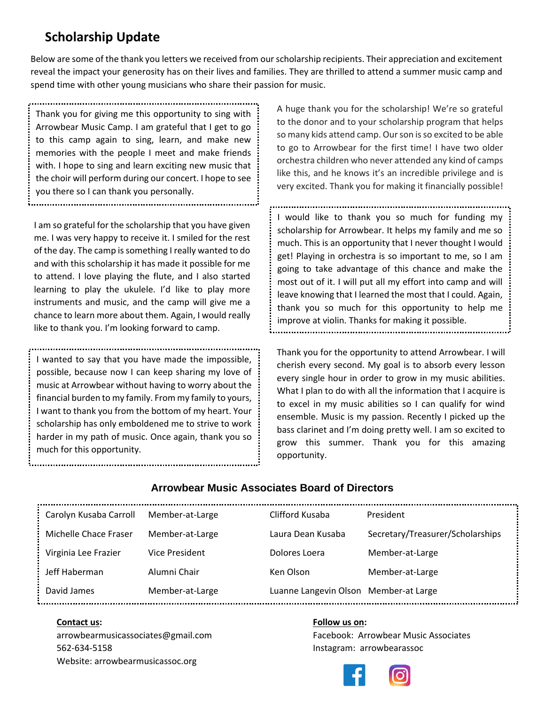## **Scholarship Update**

Below are some of the thank you letters we received from our scholarship recipients. Their appreciation and excitement reveal the impact your generosity has on their lives and families. They are thrilled to attend a summer music camp and spend time with other young musicians who share their passion for music.

Thank you for giving me this opportunity to sing with Arrowbear Music Camp. I am grateful that I get to go to this camp again to sing, learn, and make new memories with the people I meet and make friends with. I hope to sing and learn exciting new music that the choir will perform during our concert. I hope to see you there so I can thank you personally.

I am so grateful for the scholarship that you have given me. I was very happy to receive it. I smiled for the rest of the day. The camp is something I really wanted to do and with this scholarship it has made it possible for me to attend. I love playing the flute, and I also started learning to play the ukulele. I'd like to play more instruments and music, and the camp will give me a chance to learn more about them. Again, I would really like to thank you. I'm looking forward to camp.

I wanted to say that you have made the impossible, possible, because now I can keep sharing my love of music at Arrowbear without having to worry about the financial burden to my family. From my family to yours, I want to thank you from the bottom of my heart. Your scholarship has only emboldened me to strive to work harder in my path of music. Once again, thank you so much for this opportunity.

A huge thank you for the scholarship! We're so grateful to the donor and to your scholarship program that helps so many kids attend camp. Our son is so excited to be able to go to Arrowbear for the first time! I have two older orchestra children who never attended any kind of camps like this, and he knows it's an incredible privilege and is very excited. Thank you for making it financially possible!

I would like to thank you so much for funding my scholarship for Arrowbear. It helps my family and me so much. This is an opportunity that I never thought I would get! Playing in orchestra is so important to me, so I am going to take advantage of this chance and make the most out of it. I will put all my effort into camp and will leave knowing that I learned the most that I could. Again, thank you so much for this opportunity to help me improve at violin. Thanks for making it possible.

Thank you for the opportunity to attend Arrowbear. I will cherish every second. My goal is to absorb every lesson every single hour in order to grow in my music abilities. What I plan to do with all the information that I acquire is to excel in my music abilities so I can qualify for wind ensemble. Music is my passion. Recently I picked up the bass clarinet and I'm doing pretty well. I am so excited to grow this summer. Thank you for this amazing opportunity.

#### **Arrowbear Music Associates Board of Directors**

| Carolyn Kusaba Carroll | Member-at-Large | Clifford Kusaba                       | President                        |
|------------------------|-----------------|---------------------------------------|----------------------------------|
| Michelle Chace Fraser  | Member-at-Large | Laura Dean Kusaba                     | Secretary/Treasurer/Scholarships |
| Virginia Lee Frazier   | Vice President  | Dolores Loera                         | Member-at-Large                  |
| Jeff Haberman          | Alumni Chair    | Ken Olson                             | Member-at-Large                  |
| David James            | Member-at-Large | Luanne Langevin Olson Member-at Large |                                  |
|                        |                 |                                       |                                  |

562-634-5158 Instagram: arrowbearassoc Website: arrowbearmusicassoc.org

#### **Contact us:** Follow us on:

[arrowbearmusicassociates@gmail.com](mailto:arrowbearmusicassociates@gmail.com) Facebook: Arrowbear Music Associates

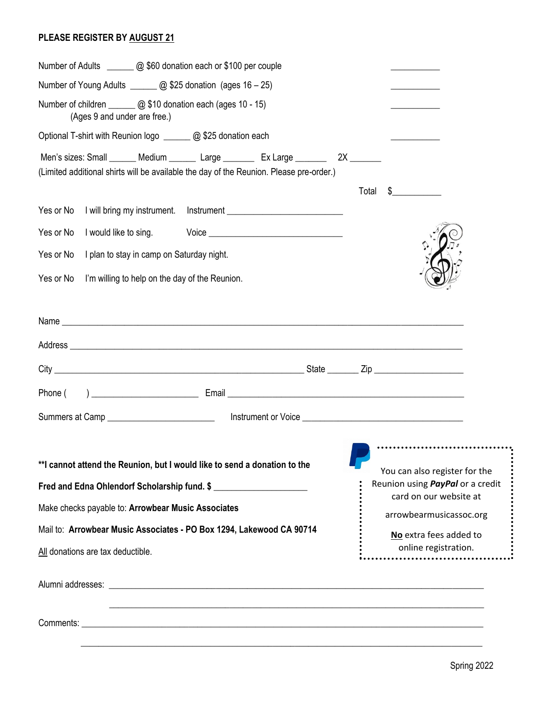#### **PLEASE REGISTER BY AUGUST 21**

| Number of Young Adults _______ @ \$25 donation (ages 16 - 25)                                                                                                               |                                                                                                        |
|-----------------------------------------------------------------------------------------------------------------------------------------------------------------------------|--------------------------------------------------------------------------------------------------------|
| Number of children ______ @ \$10 donation each (ages 10 - 15)<br>(Ages 9 and under are free.)                                                                               |                                                                                                        |
| Optional T-shirt with Reunion logo _______ @ \$25 donation each                                                                                                             |                                                                                                        |
| Men's sizes: Small ______ Medium ______ Large _______ Ex Large _______ 2X ______<br>(Limited additional shirts will be available the day of the Reunion. Please pre-order.) |                                                                                                        |
|                                                                                                                                                                             | Total<br>$\frac{1}{2}$                                                                                 |
| Yes or No                                                                                                                                                                   |                                                                                                        |
| Yes or No<br>I would like to sing.<br>Voice ___________________________________                                                                                             |                                                                                                        |
| Yes or No<br>I plan to stay in camp on Saturday night.                                                                                                                      |                                                                                                        |
| Yes or No<br>I'm willing to help on the day of the Reunion.                                                                                                                 |                                                                                                        |
|                                                                                                                                                                             |                                                                                                        |
|                                                                                                                                                                             |                                                                                                        |
|                                                                                                                                                                             |                                                                                                        |
|                                                                                                                                                                             |                                                                                                        |
|                                                                                                                                                                             |                                                                                                        |
|                                                                                                                                                                             |                                                                                                        |
| ** I cannot attend the Reunion, but I would like to send a donation to the<br>Fred and Edna Ohlendorf Scholarship fund. \$                                                  | <br>You can also register for the<br>Reunion using <i>PayPal</i> or a credit<br>card on our website at |
| Make checks payable to: Arrowbear Music Associates                                                                                                                          | arrowbearmusicassoc.org                                                                                |
| Mail to: Arrowbear Music Associates - PO Box 1294, Lakewood CA 90714                                                                                                        | No extra fees added to                                                                                 |
| All donations are tax deductible.                                                                                                                                           | online registration.<br>.                                                                              |
|                                                                                                                                                                             |                                                                                                        |

 $\frac{1}{2}$  ,  $\frac{1}{2}$  ,  $\frac{1}{2}$  ,  $\frac{1}{2}$  ,  $\frac{1}{2}$  ,  $\frac{1}{2}$  ,  $\frac{1}{2}$  ,  $\frac{1}{2}$  ,  $\frac{1}{2}$  ,  $\frac{1}{2}$  ,  $\frac{1}{2}$  ,  $\frac{1}{2}$  ,  $\frac{1}{2}$  ,  $\frac{1}{2}$  ,  $\frac{1}{2}$  ,  $\frac{1}{2}$  ,  $\frac{1}{2}$  ,  $\frac{1}{2}$  ,  $\frac{1$